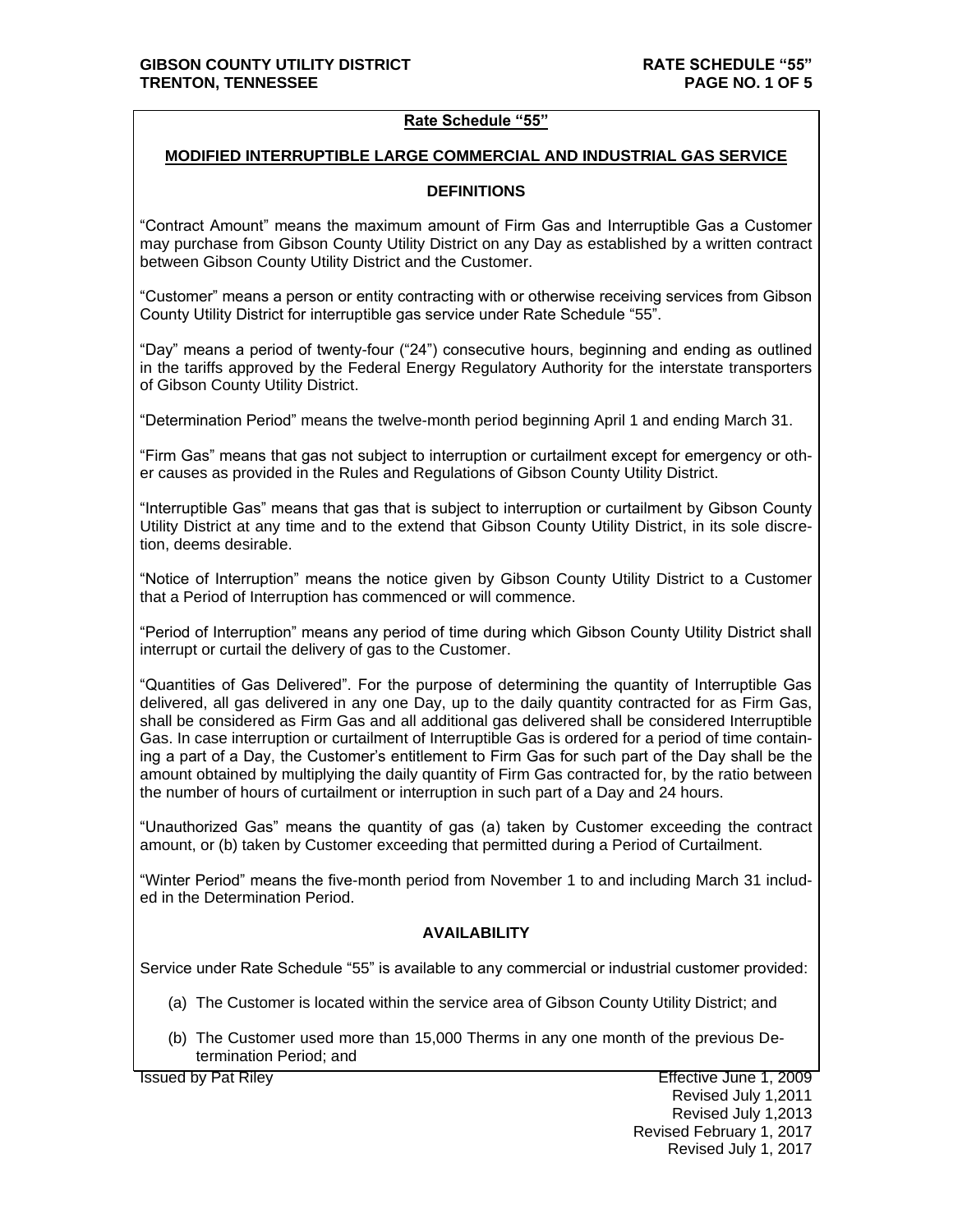#### **Rate Schedule "55"**

#### **MODIFIED INTERRUPTIBLE LARGE COMMERCIAL AND INDUSTRIAL GAS SERVICE**

#### **DEFINITIONS**

"Contract Amount" means the maximum amount of Firm Gas and Interruptible Gas a Customer may purchase from Gibson County Utility District on any Day as established by a written contract between Gibson County Utility District and the Customer.

"Customer" means a person or entity contracting with or otherwise receiving services from Gibson County Utility District for interruptible gas service under Rate Schedule "55".

"Day" means a period of twenty-four ("24") consecutive hours, beginning and ending as outlined in the tariffs approved by the Federal Energy Regulatory Authority for the interstate transporters of Gibson County Utility District.

"Determination Period" means the twelve-month period beginning April 1 and ending March 31.

"Firm Gas" means that gas not subject to interruption or curtailment except for emergency or other causes as provided in the Rules and Regulations of Gibson County Utility District.

"Interruptible Gas" means that gas that is subject to interruption or curtailment by Gibson County Utility District at any time and to the extend that Gibson County Utility District, in its sole discretion, deems desirable.

"Notice of Interruption" means the notice given by Gibson County Utility District to a Customer that a Period of Interruption has commenced or will commence.

"Period of Interruption" means any period of time during which Gibson County Utility District shall interrupt or curtail the delivery of gas to the Customer.

"Quantities of Gas Delivered". For the purpose of determining the quantity of Interruptible Gas delivered, all gas delivered in any one Day, up to the daily quantity contracted for as Firm Gas, shall be considered as Firm Gas and all additional gas delivered shall be considered Interruptible Gas. In case interruption or curtailment of Interruptible Gas is ordered for a period of time containing a part of a Day, the Customer's entitlement to Firm Gas for such part of the Day shall be the amount obtained by multiplying the daily quantity of Firm Gas contracted for, by the ratio between the number of hours of curtailment or interruption in such part of a Day and 24 hours.

"Unauthorized Gas" means the quantity of gas (a) taken by Customer exceeding the contract amount, or (b) taken by Customer exceeding that permitted during a Period of Curtailment.

"Winter Period" means the five-month period from November 1 to and including March 31 included in the Determination Period.

## **AVAILABILITY**

Service under Rate Schedule "55" is available to any commercial or industrial customer provided:

- (a) The Customer is located within the service area of Gibson County Utility District; and
- (b) The Customer used more than 15,000 Therms in any one month of the previous Determination Period; and

Issued by Pat Riley Effective June 1, 2009

Revised July 1,2011 Revised July 1,2013 Revised February 1, 2017 Revised July 1, 2017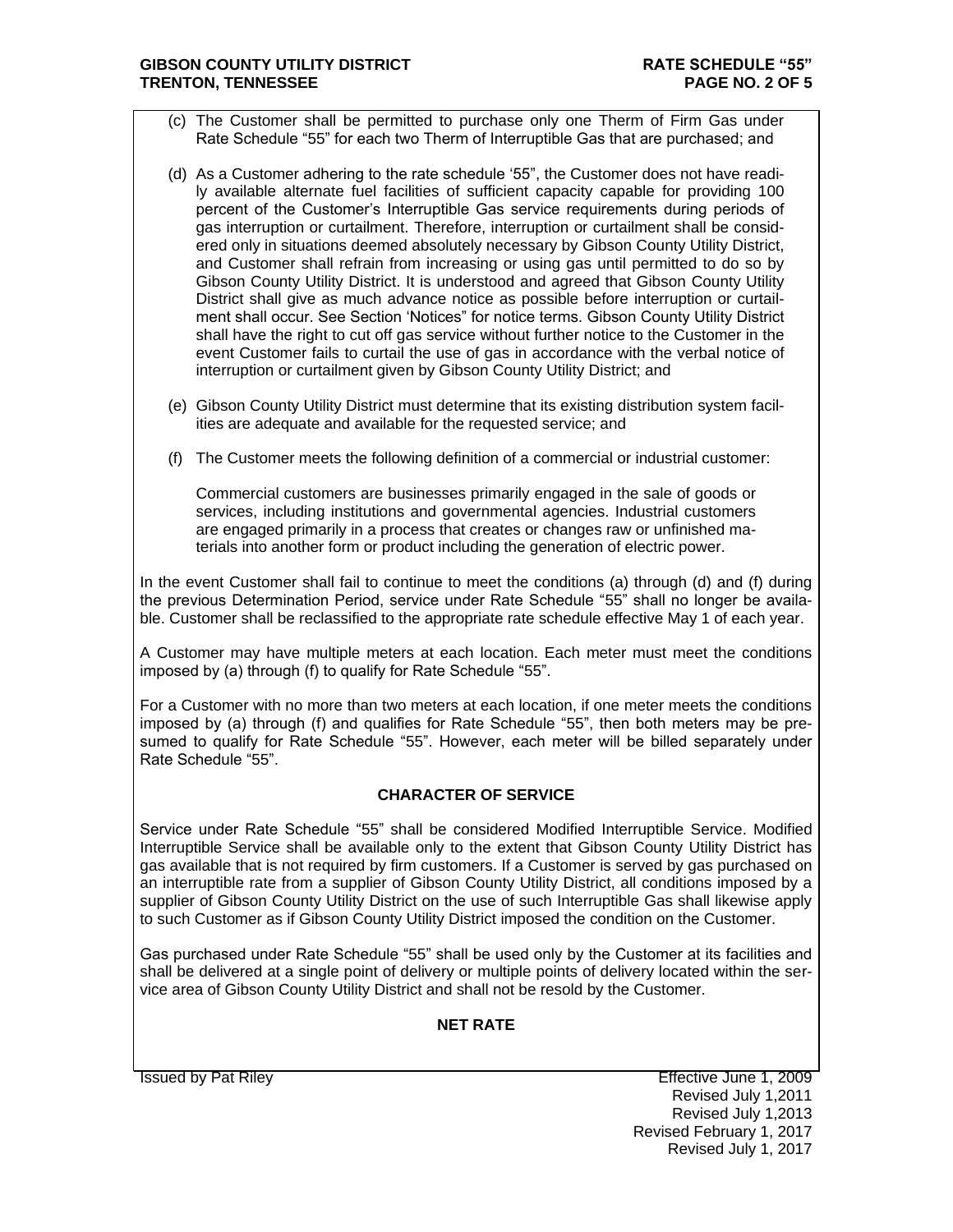#### **GIBSON COUNTY UTILITY DISTRICT RATE SCHEDULE "55" TRENTON, TENNESSEE PAGE NO. 2 OF 5**

- (c) The Customer shall be permitted to purchase only one Therm of Firm Gas under Rate Schedule "55" for each two Therm of Interruptible Gas that are purchased; and
- (d) As a Customer adhering to the rate schedule '55", the Customer does not have readily available alternate fuel facilities of sufficient capacity capable for providing 100 percent of the Customer's Interruptible Gas service requirements during periods of gas interruption or curtailment. Therefore, interruption or curtailment shall be considered only in situations deemed absolutely necessary by Gibson County Utility District, and Customer shall refrain from increasing or using gas until permitted to do so by Gibson County Utility District. It is understood and agreed that Gibson County Utility District shall give as much advance notice as possible before interruption or curtailment shall occur. See Section 'Notices" for notice terms. Gibson County Utility District shall have the right to cut off gas service without further notice to the Customer in the event Customer fails to curtail the use of gas in accordance with the verbal notice of interruption or curtailment given by Gibson County Utility District; and
- (e) Gibson County Utility District must determine that its existing distribution system facilities are adequate and available for the requested service; and
- (f) The Customer meets the following definition of a commercial or industrial customer:

Commercial customers are businesses primarily engaged in the sale of goods or services, including institutions and governmental agencies. Industrial customers are engaged primarily in a process that creates or changes raw or unfinished materials into another form or product including the generation of electric power.

In the event Customer shall fail to continue to meet the conditions (a) through (d) and (f) during the previous Determination Period, service under Rate Schedule "55" shall no longer be available. Customer shall be reclassified to the appropriate rate schedule effective May 1 of each year.

A Customer may have multiple meters at each location. Each meter must meet the conditions imposed by (a) through (f) to qualify for Rate Schedule "55".

For a Customer with no more than two meters at each location, if one meter meets the conditions imposed by (a) through (f) and qualifies for Rate Schedule "55", then both meters may be presumed to qualify for Rate Schedule "55". However, each meter will be billed separately under Rate Schedule "55".

## **CHARACTER OF SERVICE**

Service under Rate Schedule "55" shall be considered Modified Interruptible Service. Modified Interruptible Service shall be available only to the extent that Gibson County Utility District has gas available that is not required by firm customers. If a Customer is served by gas purchased on an interruptible rate from a supplier of Gibson County Utility District, all conditions imposed by a supplier of Gibson County Utility District on the use of such Interruptible Gas shall likewise apply to such Customer as if Gibson County Utility District imposed the condition on the Customer.

Gas purchased under Rate Schedule "55" shall be used only by the Customer at its facilities and shall be delivered at a single point of delivery or multiple points of delivery located within the service area of Gibson County Utility District and shall not be resold by the Customer.

## **NET RATE**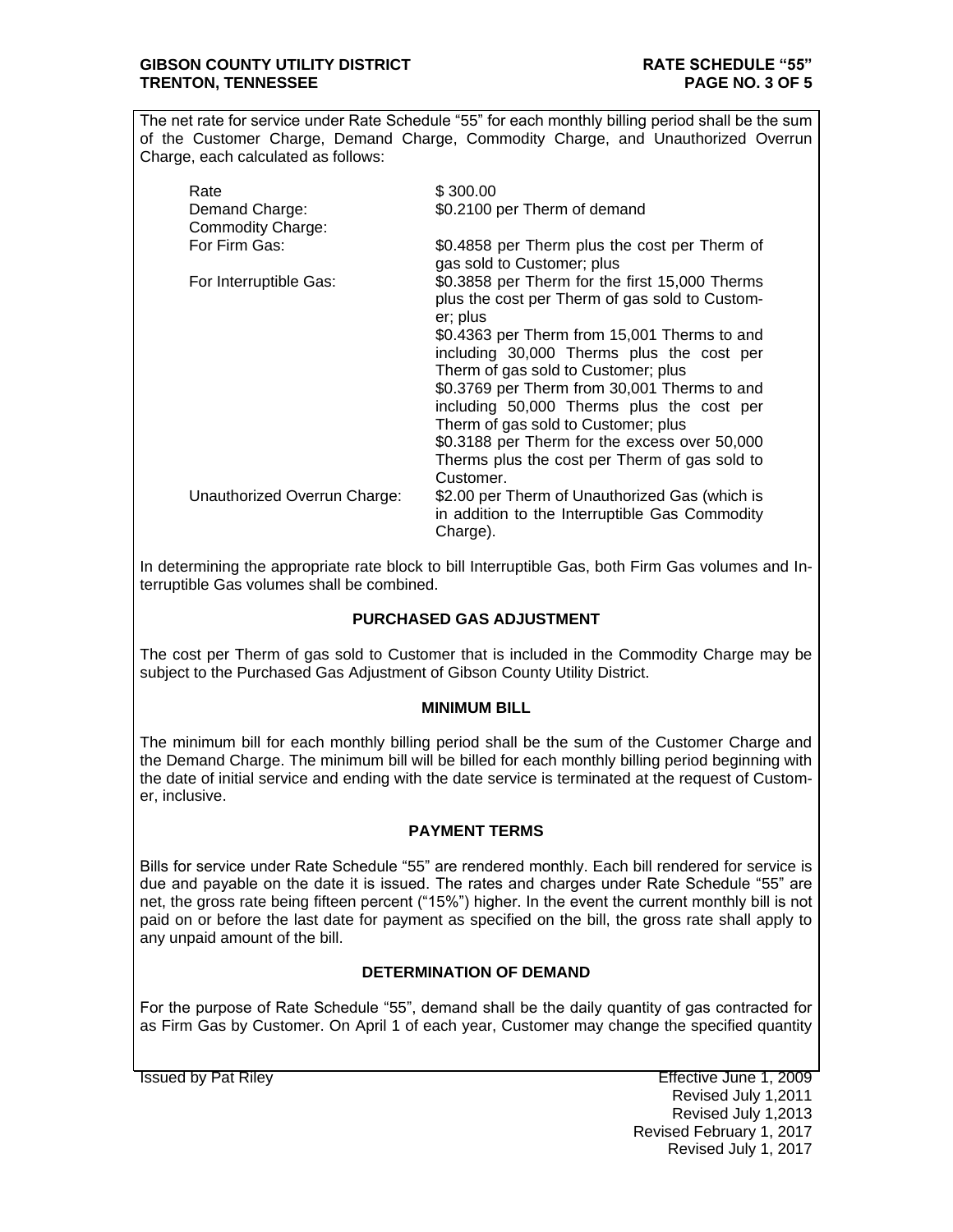#### **GIBSON COUNTY UTILITY DISTRICT RATE SCHEDULE "55" TRENTON, TENNESSEE PAGE NO. 3 OF 5**

The net rate for service under Rate Schedule "55" for each monthly billing period shall be the sum of the Customer Charge, Demand Charge, Commodity Charge, and Unauthorized Overrun Charge, each calculated as follows:

| Rate<br>Demand Charge:<br><b>Commodity Charge:</b> | \$300.00<br>\$0.2100 per Therm of demand                                                                                         |
|----------------------------------------------------|----------------------------------------------------------------------------------------------------------------------------------|
| For Firm Gas:                                      | \$0.4858 per Therm plus the cost per Therm of<br>gas sold to Customer; plus                                                      |
| For Interruptible Gas:                             | \$0.3858 per Therm for the first 15,000 Therms<br>plus the cost per Therm of gas sold to Custom-<br>er; plus                     |
|                                                    | \$0.4363 per Therm from 15,001 Therms to and<br>including 30,000 Therms plus the cost per<br>Therm of gas sold to Customer; plus |
|                                                    | \$0.3769 per Therm from 30,001 Therms to and<br>including 50,000 Therms plus the cost per<br>Therm of gas sold to Customer; plus |
|                                                    | \$0.3188 per Therm for the excess over 50,000<br>Therms plus the cost per Therm of gas sold to<br>Customer.                      |
| Unauthorized Overrun Charge:                       | \$2.00 per Therm of Unauthorized Gas (which is<br>in addition to the Interruptible Gas Commodity<br>Charge).                     |

In determining the appropriate rate block to bill Interruptible Gas, both Firm Gas volumes and Interruptible Gas volumes shall be combined.

## **PURCHASED GAS ADJUSTMENT**

The cost per Therm of gas sold to Customer that is included in the Commodity Charge may be subject to the Purchased Gas Adjustment of Gibson County Utility District.

## **MINIMUM BILL**

The minimum bill for each monthly billing period shall be the sum of the Customer Charge and the Demand Charge. The minimum bill will be billed for each monthly billing period beginning with the date of initial service and ending with the date service is terminated at the request of Customer, inclusive.

## **PAYMENT TERMS**

Bills for service under Rate Schedule "55" are rendered monthly. Each bill rendered for service is due and payable on the date it is issued. The rates and charges under Rate Schedule "55" are net, the gross rate being fifteen percent ("15%") higher. In the event the current monthly bill is not paid on or before the last date for payment as specified on the bill, the gross rate shall apply to any unpaid amount of the bill.

## **DETERMINATION OF DEMAND**

For the purpose of Rate Schedule "55", demand shall be the daily quantity of gas contracted for as Firm Gas by Customer. On April 1 of each year, Customer may change the specified quantity

Issued by Pat Riley **Effective June 1, 2009** Revised July 1,2011 Revised July 1,2013 Revised February 1, 2017 Revised July 1, 2017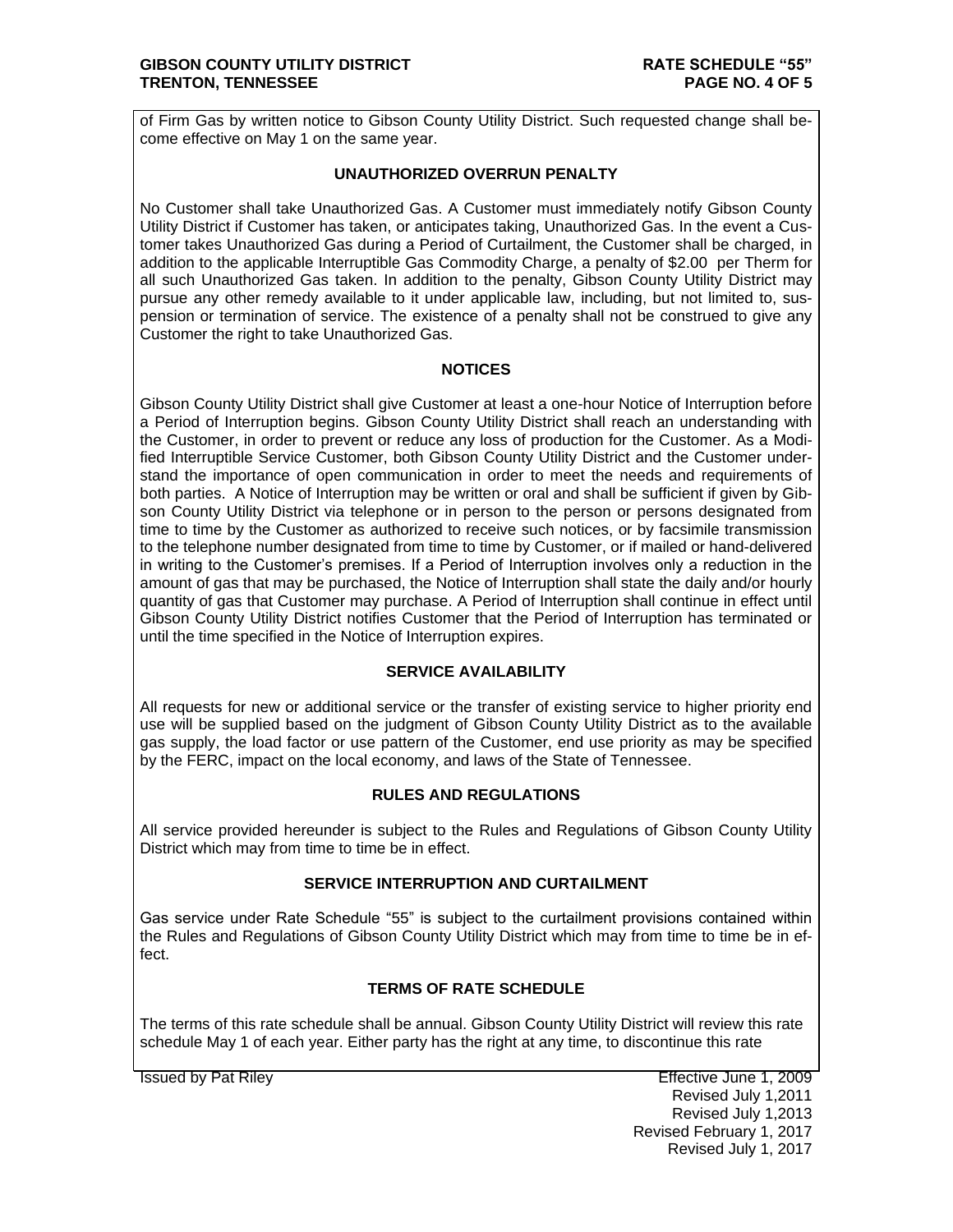of Firm Gas by written notice to Gibson County Utility District. Such requested change shall become effective on May 1 on the same year.

# **UNAUTHORIZED OVERRUN PENALTY**

No Customer shall take Unauthorized Gas. A Customer must immediately notify Gibson County Utility District if Customer has taken, or anticipates taking, Unauthorized Gas. In the event a Customer takes Unauthorized Gas during a Period of Curtailment, the Customer shall be charged, in addition to the applicable Interruptible Gas Commodity Charge, a penalty of \$2.00 per Therm for all such Unauthorized Gas taken. In addition to the penalty, Gibson County Utility District may pursue any other remedy available to it under applicable law, including, but not limited to, suspension or termination of service. The existence of a penalty shall not be construed to give any Customer the right to take Unauthorized Gas.

## **NOTICES**

Gibson County Utility District shall give Customer at least a one-hour Notice of Interruption before a Period of Interruption begins. Gibson County Utility District shall reach an understanding with the Customer, in order to prevent or reduce any loss of production for the Customer. As a Modified Interruptible Service Customer, both Gibson County Utility District and the Customer understand the importance of open communication in order to meet the needs and requirements of both parties. A Notice of Interruption may be written or oral and shall be sufficient if given by Gibson County Utility District via telephone or in person to the person or persons designated from time to time by the Customer as authorized to receive such notices, or by facsimile transmission to the telephone number designated from time to time by Customer, or if mailed or hand-delivered in writing to the Customer's premises. If a Period of Interruption involves only a reduction in the amount of gas that may be purchased, the Notice of Interruption shall state the daily and/or hourly quantity of gas that Customer may purchase. A Period of Interruption shall continue in effect until Gibson County Utility District notifies Customer that the Period of Interruption has terminated or until the time specified in the Notice of Interruption expires.

# **SERVICE AVAILABILITY**

All requests for new or additional service or the transfer of existing service to higher priority end use will be supplied based on the judgment of Gibson County Utility District as to the available gas supply, the load factor or use pattern of the Customer, end use priority as may be specified by the FERC, impact on the local economy, and laws of the State of Tennessee.

## **RULES AND REGULATIONS**

All service provided hereunder is subject to the Rules and Regulations of Gibson County Utility District which may from time to time be in effect.

# **SERVICE INTERRUPTION AND CURTAILMENT**

Gas service under Rate Schedule "55" is subject to the curtailment provisions contained within the Rules and Regulations of Gibson County Utility District which may from time to time be in effect.

## **TERMS OF RATE SCHEDULE**

The terms of this rate schedule shall be annual. Gibson County Utility District will review this rate schedule May 1 of each year. Either party has the right at any time, to discontinue this rate

Issued by Pat Riley Effective June 1, 2009 Revised July 1,2011 Revised July 1,2013 Revised February 1, 2017 Revised July 1, 2017